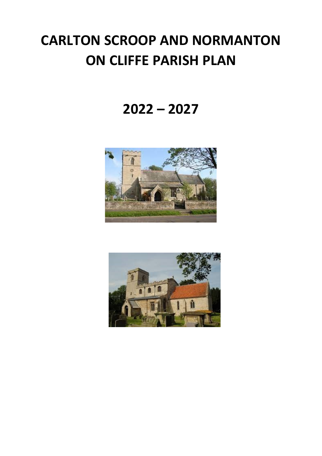# **CARLTON SCROOP AND NORMANTON ON CLIFFE PARISH PLAN**

## **2022 – 2027**



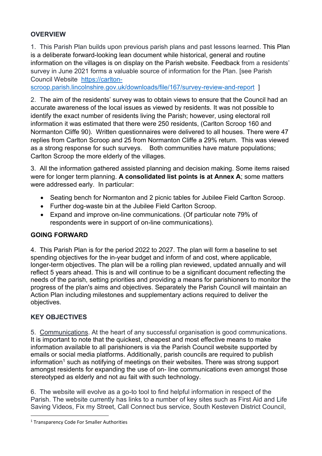### **OVERVIEW**

1. This Parish Plan builds upon previous parish plans and past lessons learned. This Plan is a deliberate forward-looking lean document while historical, general and routine information on the villages is on display on the Parish website. Feedback from a residents' survey in June 2021 forms a valuable source of information for the Plan. [see Parish Council Website [https://carlton-](https://carlton-scroop.parish.lincolnshire.gov.uk/downloads/file/167/survey-review-and-report)

[scroop.parish.lincolnshire.gov.uk/downloads/file/167/survey-review-and-report](https://carlton-scroop.parish.lincolnshire.gov.uk/downloads/file/167/survey-review-and-report) ]

2. The aim of the residents' survey was to obtain views to ensure that the Council had an accurate awareness of the local issues as viewed by residents. It was not possible to identify the exact number of residents living the Parish; however, using electoral roll information it was estimated that there were 250 residents, (Carlton Scroop 160 and Normanton Cliffe 90). Written questionnaires were delivered to all houses. There were 47 replies from Carlton Scroop and 25 from Normanton Cliffe a 29% return. This was viewed as a strong response for such surveys. Both communities have mature populations; Carlton Scroop the more elderly of the villages.

3. All the information gathered assisted planning and decision making. Some items raised were for longer term planning. **A consolidated list points is at Annex A**; some matters were addressed early. In particular:

- Seating bench for Normanton and 2 picnic tables for Jubilee Field Carlton Scroop.
- Further dog-waste bin at the Jubilee Field Carlton Scroop.
- Expand and improve on-line communications. (Of particular note 79% of respondents were in support of on-line communications).

#### **GOING FORWARD**

4. This Parish Plan is for the period 2022 to 2027. The plan will form a baseline to set spending objectives for the in-year budget and inform of and cost, where applicable, longer-term objectives. The plan will be a rolling plan reviewed, updated annually and will reflect 5 years ahead. This is and will continue to be a significant document reflecting the needs of the parish, setting priorities and providing a means for parishioners to monitor the progress of the plan's aims and objectives. Separately the Parish Council will maintain an Action Plan including milestones and supplementary actions required to deliver the objectives.

#### **KEY OBJECTIVES**

5. Communications. At the heart of any successful organisation is good communications. It is important to note that the quickest, cheapest and most effective means to make information available to all parishioners is via the Parish Council website supported by emails or social media platforms. Additionally, parish councils are required to publish information<sup>1</sup> such as notifying of meetings on their websites. There was strong support amongst residents for expanding the use of on- line communications even amongst those stereotyped as elderly and not au fait with such technology.

6. The website will evolve as a go-to tool to find helpful information in respect of the Parish. The website currently has links to a number of key sites such as First Aid and Life Saving Videos, Fix my Street, Call Connect bus service, South Kesteven District Council,

<sup>&</sup>lt;sup>1</sup> Transparency Code For Smaller Authorities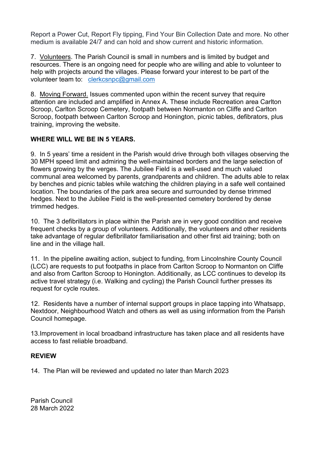Report a Power Cut, Report Fly tipping, Find Your Bin Collection Date and more. No other medium is available 24/7 and can hold and show current and historic information.

7. Volunteers. The Parish Council is small in numbers and is limited by budget and resources. There is an ongoing need for people who are willing and able to volunteer to help with projects around the villages. Please forward your interest to be part of the volunteer team to: [clerkcsnpc@gmail.com](mailto:clerkcsnpc@gmail.com)

8. Moving Forward. Issues commented upon within the recent survey that require attention are included and amplified in Annex A. These include Recreation area Carlton Scroop, Carlton Scroop Cemetery, footpath between Normanton on Cliffe and Carlton Scroop, footpath between Carlton Scroop and Honington, picnic tables, defibrators, plus training, improving the website.

#### **WHERE WILL WE BE IN 5 YEARS.**

9. In 5 years' time a resident in the Parish would drive through both villages observing the 30 MPH speed limit and admiring the well-maintained borders and the large selection of flowers growing by the verges. The Jubilee Field is a well-used and much valued communal area welcomed by parents, grandparents and children. The adults able to relax by benches and picnic tables while watching the children playing in a safe well contained location. The boundaries of the park area secure and surrounded by dense trimmed hedges. Next to the Jubilee Field is the well-presented cemetery bordered by dense trimmed hedges.

10. The 3 defibrillators in place within the Parish are in very good condition and receive frequent checks by a group of volunteers. Additionally, the volunteers and other residents take advantage of regular defibrillator familiarisation and other first aid training; both on line and in the village hall.

11. In the pipeline awaiting action, subject to funding, from Lincolnshire County Council (LCC) are requests to put footpaths in place from Carlton Scroop to Normanton on Cliffe and also from Carlton Scroop to Honington. Additionally, as LCC continues to develop its active travel strategy (i.e. Walking and cycling) the Parish Council further presses its request for cycle routes.

12. Residents have a number of internal support groups in place tapping into Whatsapp, Nextdoor, Neighbourhood Watch and others as well as using information from the Parish Council homepage.

13.Improvement in local broadband infrastructure has taken place and all residents have access to fast reliable broadband.

#### **REVIEW**

14. The Plan will be reviewed and updated no later than March 2023

Parish Council 28 March 2022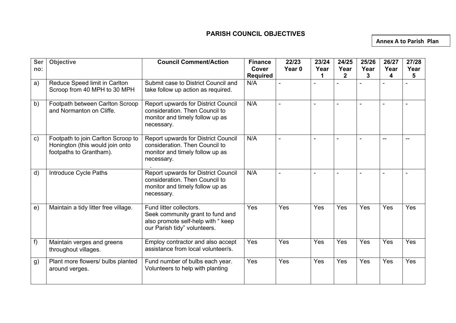#### **PARISH COUNCIL OBJECTIVES**

**Annex A to Parish Plan**

| <b>Ser</b><br>no: | <b>Objective</b>                                                                                 | <b>Council Comment/Action</b>                                                                                                     | <b>Finance</b><br>Cover | 22/23<br>Year <sub>0</sub> | 23/24<br>Year  | 24/25<br>Year            | 25/26<br>Year | 26/27<br>Year  | 27/28<br>Year |
|-------------------|--------------------------------------------------------------------------------------------------|-----------------------------------------------------------------------------------------------------------------------------------|-------------------------|----------------------------|----------------|--------------------------|---------------|----------------|---------------|
|                   |                                                                                                  |                                                                                                                                   | <b>Required</b>         |                            | 1              | $\overline{2}$           | 3             | 4              | 5             |
| a)                | Reduce Speed limit in Carlton<br>Scroop from 40 MPH to 30 MPH                                    | Submit case to District Council and<br>take follow up action as required.                                                         | N/A                     | ÷,                         | $\blacksquare$ |                          |               | $\blacksquare$ |               |
| b)                | Footpath between Carlton Scroop<br>and Normanton on Cliffe.                                      | <b>Report upwards for District Council</b><br>consideration. Then Council to<br>monitor and timely follow up as<br>necessary.     | N/A                     | $\ddot{\phantom{1}}$       | $\blacksquare$ | $\overline{\phantom{a}}$ |               | $\blacksquare$ |               |
| $\mathbf{c})$     | Footpath to join Carlton Scroop to<br>Honington (this would join onto<br>footpaths to Grantham). | <b>Report upwards for District Council</b><br>consideration. Then Council to<br>monitor and timely follow up as<br>necessary.     | N/A                     | $\ddot{\phantom{1}}$       | $\blacksquare$ |                          |               | --             | --            |
| $\mathsf{d}$ )    | Introduce Cycle Paths                                                                            | <b>Report upwards for District Council</b><br>consideration. Then Council to<br>monitor and timely follow up as<br>necessary.     | N/A                     | $\ddot{\phantom{1}}$       | $\blacksquare$ |                          |               | $\blacksquare$ |               |
| e)                | Maintain a tidy litter free village.                                                             | Fund litter collectors.<br>Seek community grant to fund and<br>also promote self-help with " keep<br>our Parish tidy" volunteers. | Yes                     | Yes                        | Yes            | Yes                      | Yes           | Yes            | Yes           |
| f)                | Maintain verges and greens<br>throughout villages.                                               | Employ contractor and also accept<br>assistance from local volunteer/s.                                                           | Yes                     | Yes                        | Yes            | Yes                      | Yes           | Yes            | Yes           |
| g)                | Plant more flowers/ bulbs planted<br>around verges.                                              | Fund number of bulbs each year.<br>Volunteers to help with planting                                                               | Yes                     | Yes                        | Yes            | Yes                      | Yes           | Yes            | Yes           |